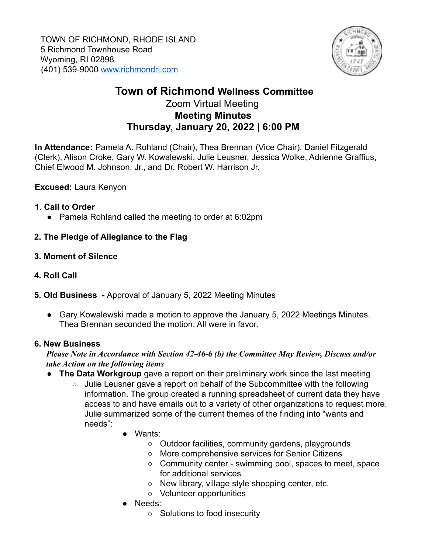

# **Town of Richmond Wellness Committee**

## Zoom Virtual Meeting **Meeting Minutes Thursday, January 20, 2022 | 6:00 PM**

**In Attendance:** Pamela A. Rohland (Chair), Thea Brennan (Vice Chair), Daniel Fitzgerald (Clerk), Alison Croke, Gary W. Kowalewski, Julie Leusner, Jessica Wolke, Adrienne Graffius, Chief Elwood M. Johnson, Jr., and Dr. Robert W. Harrison Jr.

## **Excused:** Laura Kenyon

#### **1. Call to Order**

● Pamela Rohland called the meeting to order at 6:02pm

## **2. The Pledge of Allegiance to the Flag**

- **3. Moment of Silence**
- **4. Roll Call**
- **5. Old Business -** Approval of January 5, 2022 Meeting Minutes
	- Gary Kowalewski made a motion to approve the January 5, 2022 Meetings Minutes. Thea Brennan seconded the motion. All were in favor.

#### **6. New Business**

#### *Please Note in Accordance with Section 42-46-6 (b) the Committee May Review, Discuss and/or take Action on the following items*

- **The Data Workgroup** gave a report on their preliminary work since the last meeting
	- Julie Leusner gave a report on behalf of the Subcommittee with the following information. The group created a running spreadsheet of current data they have access to and have emails out to a variety of other organizations to request more. Julie summarized some of the current themes of the finding into "wants and needs":
		- Wants:
			- Outdoor facilities, community gardens, playgrounds
			- More comprehensive services for Senior Citizens
			- Community center swimming pool, spaces to meet, space for additional services
			- New library, village style shopping center, etc.
			- Volunteer opportunities
		- Needs:
			- Solutions to food insecurity